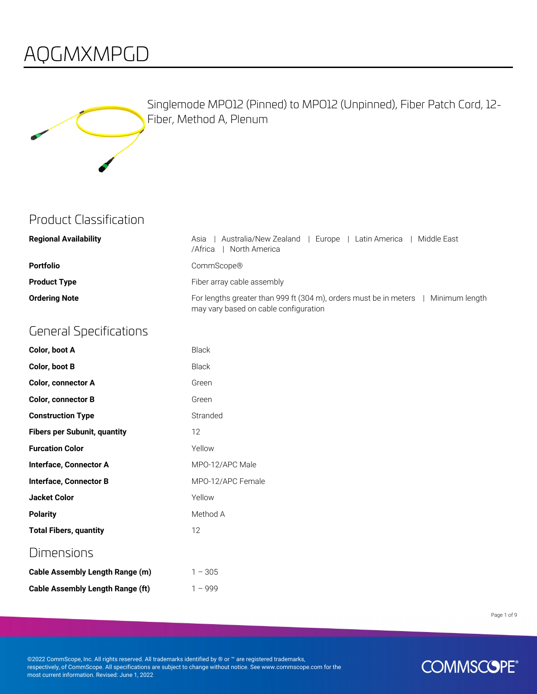### AQGMXMPGD



Singlemode MPO12 (Pinned) to MPO12 (Unpinned), Fiber Patch Cord, 12- Fiber, Method A, Plenum

#### Product Classification

| <b>Regional Availability</b> | Australia/New Zealand   Europe   Latin America<br>Middle East<br>Asia<br>/Africa<br>North America                           |
|------------------------------|-----------------------------------------------------------------------------------------------------------------------------|
| <b>Portfolio</b>             | CommScope®                                                                                                                  |
| <b>Product Type</b>          | Fiber array cable assembly                                                                                                  |
| <b>Ordering Note</b>         | For lengths greater than 999 ft (304 m), orders must be in meters   Minimum length<br>may vary based on cable configuration |

#### General Specifications

| Color, boot A                           | <b>Black</b>      |
|-----------------------------------------|-------------------|
| Color, boot B                           | <b>Black</b>      |
| <b>Color, connector A</b>               | Green             |
| <b>Color, connector B</b>               | Green             |
| <b>Construction Type</b>                | Stranded          |
| <b>Fibers per Subunit, quantity</b>     | 12                |
| <b>Furcation Color</b>                  | Yellow            |
| <b>Interface, Connector A</b>           | MPO-12/APC Male   |
| <b>Interface, Connector B</b>           | MPO-12/APC Female |
| <b>Jacket Color</b>                     | Yellow            |
| <b>Polarity</b>                         | Method A          |
| <b>Total Fibers, quantity</b>           | 12                |
| <b>Dimensions</b>                       |                   |
| <b>Cable Assembly Length Range (m)</b>  | $1 - 305$         |
| <b>Cable Assembly Length Range (ft)</b> | $1 - 999$         |

Page 1 of 9

©2022 CommScope, Inc. All rights reserved. All trademarks identified by ® or ™ are registered trademarks, respectively, of CommScope. All specifications are subject to change without notice. See www.commscope.com for the most current information. Revised: June 1, 2022

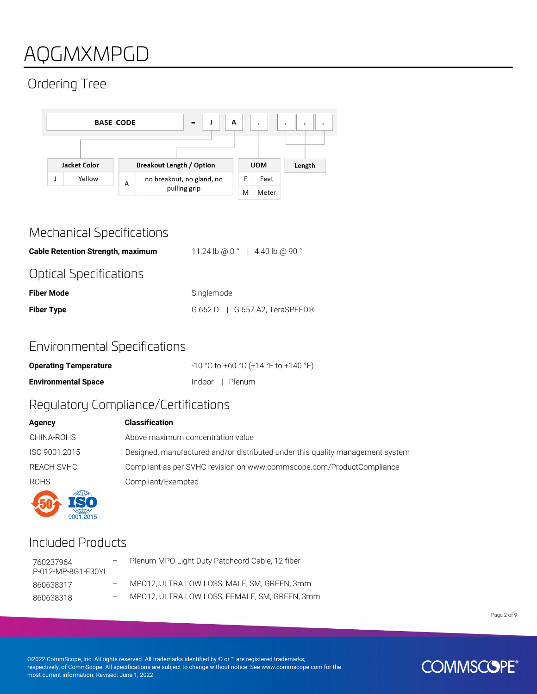# AQGMXMPGD

### Ordering Tree



#### Mechanical Specifications

**Cable Retention Strength, maximum** 11.24 lb @ 0 ° | 4.40 lb @ 90 ° Optical Specifications **Fiber Mode** Singlemode

**Fiber Type** G.652.D | G.657.A2, TeraSPEED®

#### Environmental Specifications

| <b>Operating Temperature</b> | -10 °C to +60 °C (+14 °F to +140 °F) |
|------------------------------|--------------------------------------|
| <b>Environmental Space</b>   | Indoor   Plenum                      |

#### Regulatory Compliance/Certifications

| Agency        | <b>Classification</b>                                                          |
|---------------|--------------------------------------------------------------------------------|
| CHINA-ROHS    | Above maximum concentration value                                              |
| ISO 9001:2015 | Designed, manufactured and/or distributed under this quality management system |
| REACH-SVHC    | Compliant as per SVHC revision on www.commscope.com/ProductCompliance          |
| <b>ROHS</b>   | Compliant/Exempted                                                             |
|               |                                                                                |

### Included Products

| 760237964<br>P-012-MP-8G1-F30YL | Plenum MPO Light Duty Patchcord Cable, 12 fiber |
|---------------------------------|-------------------------------------------------|
| 860638317                       | MP012, ULTRA LOW LOSS, MALE, SM, GREEN, 3mm     |
| 860638318                       | MPO12, ULTRA LOW LOSS, FEMALE, SM, GREEN, 3mm   |

Page 2 of 9

©2022 CommScope, Inc. All rights reserved. All trademarks identified by ® or ™ are registered trademarks, respectively, of CommScope. All specifications are subject to change without notice. See www.commscope.com for the most current information. Revised: June 1, 2022

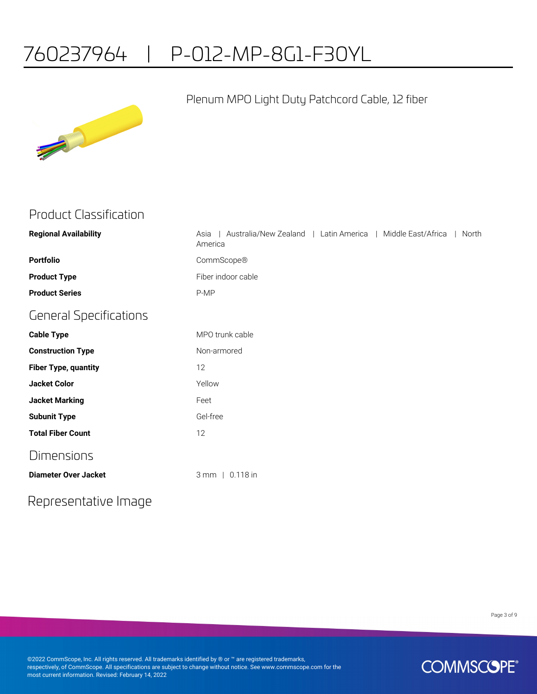# 760237964 | P-012-MP-8G1-F30YL



#### Plenum MPO Light Duty Patchcord Cable, 12 fiber

| <b>Product Classification</b> |  |
|-------------------------------|--|
|-------------------------------|--|

| <b>Regional Availability</b>  | Australia/New Zealand   Latin America   Middle East/Africa<br>North<br>Asia<br>America |
|-------------------------------|----------------------------------------------------------------------------------------|
| <b>Portfolio</b>              | CommScope®                                                                             |
| <b>Product Type</b>           | Fiber indoor cable                                                                     |
| <b>Product Series</b>         | P-MP                                                                                   |
| <b>General Specifications</b> |                                                                                        |
| <b>Cable Type</b>             | MPO trunk cable                                                                        |
| <b>Construction Type</b>      | Non-armored                                                                            |
| <b>Fiber Type, quantity</b>   | 12                                                                                     |
| <b>Jacket Color</b>           | Yellow                                                                                 |
| <b>Jacket Marking</b>         | Feet                                                                                   |
| <b>Subunit Type</b>           | Gel-free                                                                               |
| <b>Total Fiber Count</b>      | 12                                                                                     |
| <b>Dimensions</b>             |                                                                                        |
| <b>Diameter Over Jacket</b>   | 3 mm   0.118 in                                                                        |

#### Representative Image

Page 3 of 9

©2022 CommScope, Inc. All rights reserved. All trademarks identified by ® or ™ are registered trademarks, respectively, of CommScope. All specifications are subject to change without notice. See www.commscope.com for the most current information. Revised: February 14, 2022

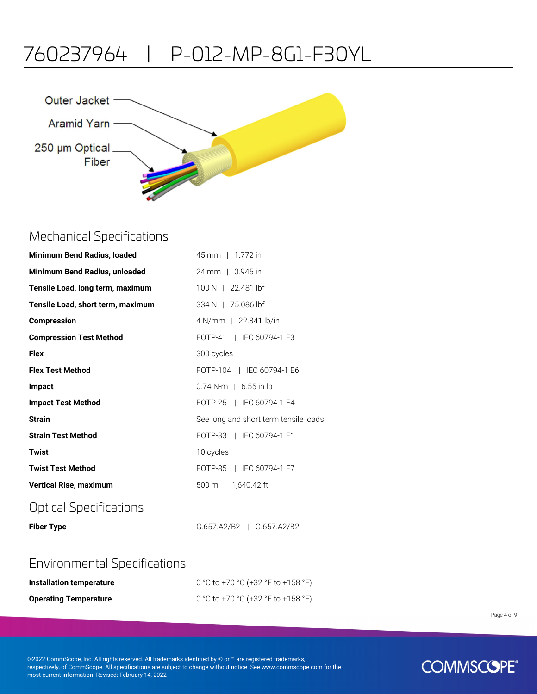## 760237964 | P-012-MP-8G1-F30YL



#### Mechanical Specifications

| <b>Minimum Bend Radius, loaded</b> | 45 mm   1.772 in                      |
|------------------------------------|---------------------------------------|
| Minimum Bend Radius, unloaded      | 24 mm   0.945 in                      |
| Tensile Load, long term, maximum   | 100 N   22.481 lbf                    |
| Tensile Load, short term, maximum  | 334 N   75.086 lbf                    |
| <b>Compression</b>                 | 4 N/mm   22.841 lb/in                 |
| <b>Compression Test Method</b>     | FOTP-41   IEC 60794-1 E3              |
| <b>Flex</b>                        | 300 cycles                            |
| <b>Flex Test Method</b>            | FOTP-104   IEC 60794-1 E6             |
| <b>Impact</b>                      | $0.74$ N-m   6.55 in lb               |
| <b>Impact Test Method</b>          | FOTP-25   IEC 60794-1 E4              |
| <b>Strain</b>                      | See long and short term tensile loads |
| <b>Strain Test Method</b>          | FOTP-33   IEC 60794-1 E1              |
| <b>Twist</b>                       | 10 cycles                             |
| <b>Twist Test Method</b>           | FOTP-85   IEC 60794-1 E7              |
| <b>Vertical Rise, maximum</b>      | $500 \text{ m}$   1,640.42 ft         |
|                                    |                                       |

#### Optical Specifications

**Fiber Type** G.657.A2/B2 | G.657.A2/B2

#### Environmental Specifications

| Installation temperature     | 0 °C to +70 °C (+32 °F to +158 °F) |
|------------------------------|------------------------------------|
| <b>Operating Temperature</b> | 0 °C to +70 °C (+32 °F to +158 °F) |

Page 4 of 9

©2022 CommScope, Inc. All rights reserved. All trademarks identified by ® or ™ are registered trademarks, respectively, of CommScope. All specifications are subject to change without notice. See www.commscope.com for the most current information. Revised: February 14, 2022

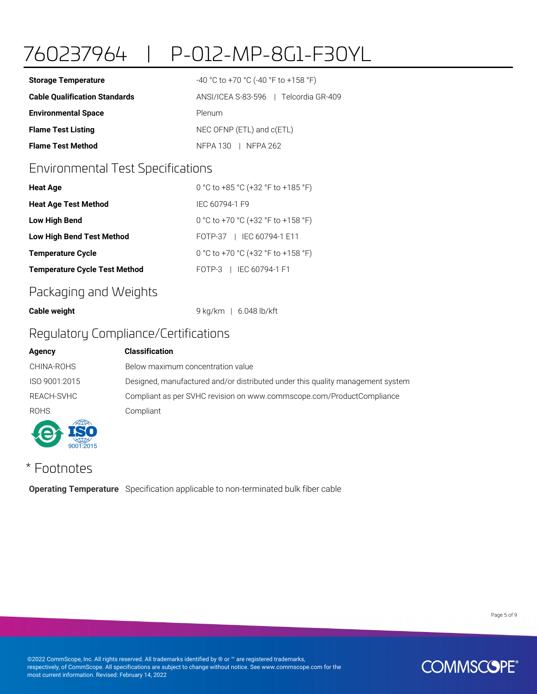# 760237964 | P-012-MP-8G1-F30YL

| <b>Storage Temperature</b>           | $-40$ °C to +70 °C (-40 °F to +158 °F) |
|--------------------------------------|----------------------------------------|
| <b>Cable Qualification Standards</b> | ANSI/ICEA S-83-596   Telcordia GR-409  |
| <b>Environmental Space</b>           | Plenum                                 |
| <b>Flame Test Listing</b>            | NEC OFNP $(ETL)$ and $c(ETL)$          |
| <b>Flame Test Method</b>             | NFPA 130   NFPA 262                    |

#### Environmental Test Specifications

| <b>Heat Age</b>                      | 0 °C to +85 °C (+32 °F to +185 °F) |
|--------------------------------------|------------------------------------|
| <b>Heat Age Test Method</b>          | IFC 60794-1 F9                     |
| Low High Bend                        | 0 °C to +70 °C (+32 °F to +158 °F) |
| <b>Low High Bend Test Method</b>     | FOTP-37   IEC 60794-1 E11          |
| <b>Temperature Cycle</b>             | 0 °C to +70 °C (+32 °F to +158 °F) |
| <b>Temperature Cycle Test Method</b> | FOTP-3   IEC 60794-1 F1            |

#### Packaging and Weights

**Cable weight** 9 kg/km | 6.048 lb/kft

#### Regulatory Compliance/Certifications

#### **Agency Classification**



CHINA-ROHS Below maximum concentration value ISO 9001:2015 Designed, manufactured and/or distributed under this quality management system REACH-SVHC Compliant as per SVHC revision on www.commscope.com/ProductCompliance

#### \* Footnotes

**Operating Temperature** Specification applicable to non-terminated bulk fiber cable

Page 5 of 9

©2022 CommScope, Inc. All rights reserved. All trademarks identified by ® or ™ are registered trademarks, respectively, of CommScope. All specifications are subject to change without notice. See www.commscope.com for the most current information. Revised: February 14, 2022

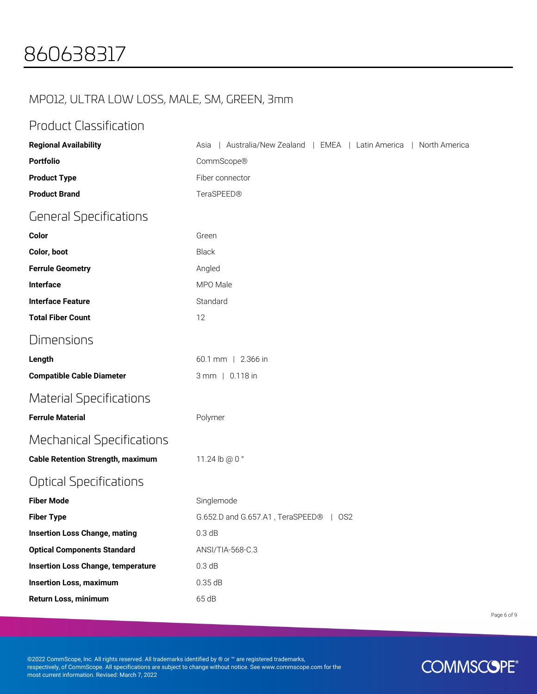### MPO12, ULTRA LOW LOSS, MALE, SM, GREEN, 3mm

#### Product Classification

| <b>Regional Availability</b>              | Australia/New Zealand   EMEA   Latin America   North America<br>Asia |
|-------------------------------------------|----------------------------------------------------------------------|
| <b>Portfolio</b>                          | CommScope®                                                           |
| <b>Product Type</b>                       | Fiber connector                                                      |
| <b>Product Brand</b>                      | TeraSPEED®                                                           |
| <b>General Specifications</b>             |                                                                      |
| Color                                     | Green                                                                |
| Color, boot                               | <b>Black</b>                                                         |
| <b>Ferrule Geometry</b>                   | Angled                                                               |
| Interface                                 | MPO Male                                                             |
| <b>Interface Feature</b>                  | Standard                                                             |
| <b>Total Fiber Count</b>                  | 12                                                                   |
| Dimensions                                |                                                                      |
| Length                                    | 60.1 mm   2.366 in                                                   |
| <b>Compatible Cable Diameter</b>          | 3 mm   0.118 in                                                      |
| <b>Material Specifications</b>            |                                                                      |
| <b>Ferrule Material</b>                   | Polymer                                                              |
| <b>Mechanical Specifications</b>          |                                                                      |
| <b>Cable Retention Strength, maximum</b>  | 11.24 lb @ 0 °                                                       |
| <b>Optical Specifications</b>             |                                                                      |
| <b>Fiber Mode</b>                         | Singlemode                                                           |
| <b>Fiber Type</b>                         | G.652.D and G.657.A1, TeraSPEED®   OS2                               |
| <b>Insertion Loss Change, mating</b>      | 0.3 dB                                                               |
| <b>Optical Components Standard</b>        | ANSI/TIA-568-C.3                                                     |
| <b>Insertion Loss Change, temperature</b> | 0.3 dB                                                               |
| <b>Insertion Loss, maximum</b>            | 0.35 dB                                                              |
| Return Loss, minimum                      | 65 dB                                                                |

Page 6 of 9

©2022 CommScope, Inc. All rights reserved. All trademarks identified by ® or ™ are registered trademarks, respectively, of CommScope. All specifications are subject to change without notice. See www.commscope.com for the most current information. Revised: March 7, 2022

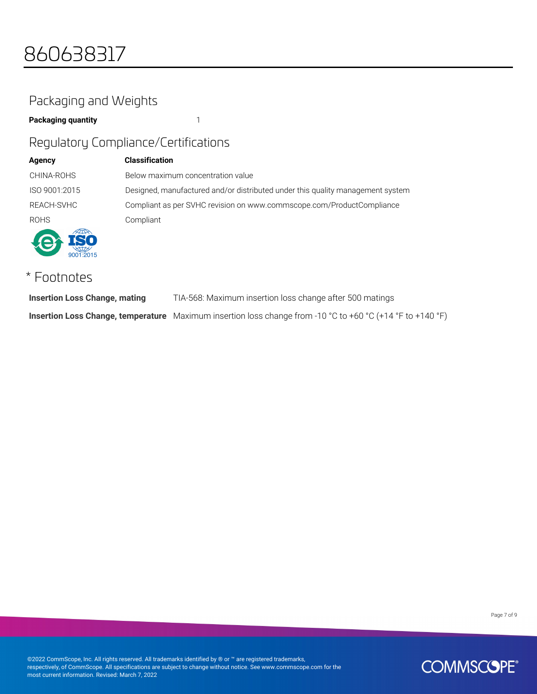### Packaging and Weights

#### **Packaging quantity** 1

#### Regulatory Compliance/Certifications

| <b>Agency</b> | <b>Classification</b>                                                          |
|---------------|--------------------------------------------------------------------------------|
| CHINA-ROHS    | Below maximum concentration value                                              |
| ISO 9001:2015 | Designed, manufactured and/or distributed under this quality management system |
| REACH-SVHC    | Compliant as per SVHC revision on www.commscope.com/ProductCompliance          |
| <b>ROHS</b>   | Compliant                                                                      |
| $-2015$       |                                                                                |

#### \* Footnotes

| <b>Insertion Loss Change, mating</b> | TIA-568: Maximum insertion loss change after 500 matings                                                   |
|--------------------------------------|------------------------------------------------------------------------------------------------------------|
|                                      | Insertion Loss Change, temperature Maximum insertion loss change from -10 °C to +60 °C (+14 °F to +140 °F) |

Page 7 of 9

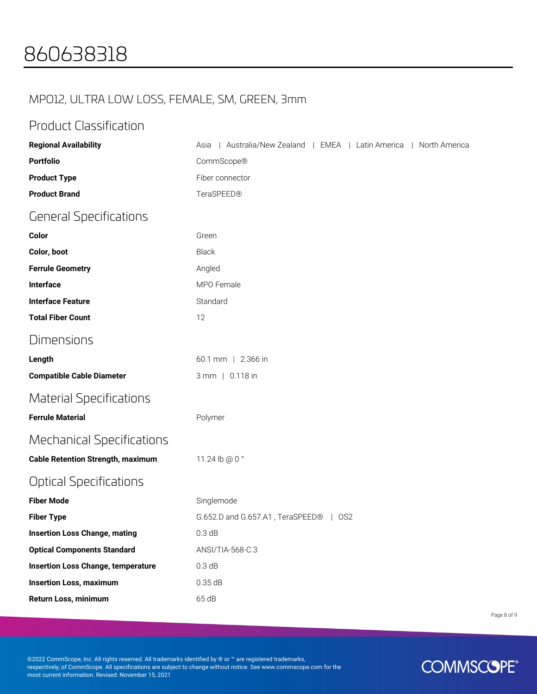#### MPO12, ULTRA LOW LOSS, FEMALE, SM, GREEN, 3mm

#### Product Classification

| <b>Regional Availability</b>              | Australia/New Zealand   EMEA   Latin America   North America<br>Asia |
|-------------------------------------------|----------------------------------------------------------------------|
| <b>Portfolio</b>                          | CommScope®                                                           |
| <b>Product Type</b>                       | Fiber connector                                                      |
| <b>Product Brand</b>                      | TeraSPEED®                                                           |
| <b>General Specifications</b>             |                                                                      |
| Color                                     | Green                                                                |
| Color, boot                               | Black                                                                |
| <b>Ferrule Geometry</b>                   | Angled                                                               |
| Interface                                 | MPO Female                                                           |
| <b>Interface Feature</b>                  | Standard                                                             |
| <b>Total Fiber Count</b>                  | 12                                                                   |
| Dimensions                                |                                                                      |
| Length                                    | 60.1 mm   2.366 in                                                   |
| <b>Compatible Cable Diameter</b>          | 3 mm   0.118 in                                                      |
| <b>Material Specifications</b>            |                                                                      |
| <b>Ferrule Material</b>                   | Polymer                                                              |
| <b>Mechanical Specifications</b>          |                                                                      |
| <b>Cable Retention Strength, maximum</b>  | 11.24 lb @ 0 °                                                       |
| Optical Specifications                    |                                                                      |
| <b>Fiber Mode</b>                         | Singlemode                                                           |
| <b>Fiber Type</b>                         | G.652.D and G.657.A1, TeraSPEED®<br>$\mid$ OS2                       |
| <b>Insertion Loss Change, mating</b>      | 0.3 dB                                                               |
| <b>Optical Components Standard</b>        | ANSI/TIA-568-C.3                                                     |
| <b>Insertion Loss Change, temperature</b> | 0.3 dB                                                               |
| <b>Insertion Loss, maximum</b>            | 0.35dB                                                               |
| Return Loss, minimum                      | 65 dB                                                                |

Page 8 of 9

©2022 CommScope, Inc. All rights reserved. All trademarks identified by ® or ™ are registered trademarks, respectively, of CommScope. All specifications are subject to change without notice. See www.commscope.com for the most current information. Revised: November 15, 2021